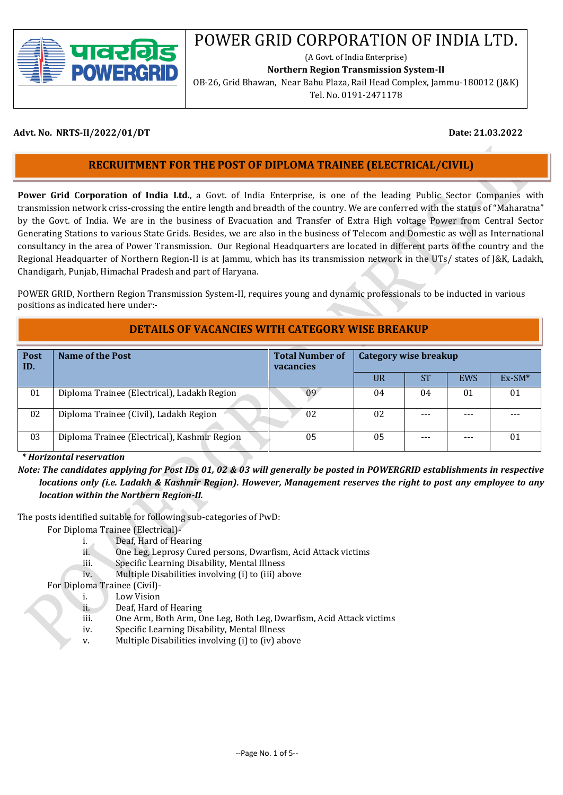

# POWER GRID CORPORATION OF INDIA LTD.

(A Govt. of India Enterprise)

**Northern Region Transmission System-II**

OB-26, Grid Bhawan, Near Bahu Plaza, Rail Head Complex, Jammu-180012 (J&K) Tel. No. 0191-2471178

#### **Advt. No. NRTS-II/2022/01/DT Date: 21.03.2022**

## **RECRUITMENT FOR THE POST OF DIPLOMA TRAINEE (ELECTRICAL/CIVIL)**

 **Power Grid Corporation of India Ltd.**, a Govt. of India Enterprise, is one of the leading Public Sector Companies with transmission network criss-crossing the entire length and breadth of the country. We are conferred with the status of "Maharatna" by the Govt. of India. We are in the business of Evacuation and Transfer of Extra High voltage Power from Central Sector Generating Stations to various State Grids. Besides, we are also in the business of Telecom and Domestic as well as International consultancy in the area of Power Transmission. Our Regional Headquarters are located in different parts of the country and the Regional Headquarter of Northern Region-II is at Jammu, which has its transmission network in the UTs/ states of J&K, Ladakh, Chandigarh, Punjab, Himachal Pradesh and part of Haryana.

 POWER GRID, Northern Region Transmission System-II, requires young and dynamic professionals to be inducted in various positions as indicated here under:-

### **DETAILS OF VACANCIES WITH CATEGORY WISE BREAKUP**

| <b>Post</b><br>ID. | Name of the Post                             | <b>Total Number of</b><br>vacancies | Category wise breakup |           |            |          |
|--------------------|----------------------------------------------|-------------------------------------|-----------------------|-----------|------------|----------|
|                    |                                              |                                     | <b>UR</b>             | <b>ST</b> | <b>EWS</b> | $Ex-SM*$ |
| 01                 | Diploma Trainee (Electrical), Ladakh Region  | 09                                  | 04                    | 04        | 01         | 01       |
| 02                 | Diploma Trainee (Civil), Ladakh Region       | 02                                  | 02                    | $- - -$   | ---        |          |
| 03                 | Diploma Trainee (Electrical), Kashmir Region | 05                                  | 05                    | ---       | ---        | 01       |

 *\* Horizontal reservation*

*Note: The candidates applying for Post IDs 01, 02 & 03 will generally be posted in POWERGRID establishments in respective locations only (i.e. Ladakh & Kashmir Region). However, Management reserves the right to post any employee to any location within the Northern Region-II.* 

The posts identified suitable for following sub-categories of PwD:

For Diploma Trainee (Electrical)-

- i. Deaf, Hard of Hearing
- ii. One Leg, Leprosy Cured persons, Dwarfism, Acid Attack victims
- iii. Specific Learning Disability, Mental Illness
- iv. Multiple Disabilities involving (i) to (iii) above

For Diploma Trainee (Civil)-

- i. Low Vision
- ii. Deaf, Hard of Hearing
- iii. One Arm, Both Arm, One Leg, Both Leg, Dwarfism, Acid Attack victims
- iv. Specific Learning Disability, Mental Illness
- v. Multiple Disabilities involving (i) to (iv) above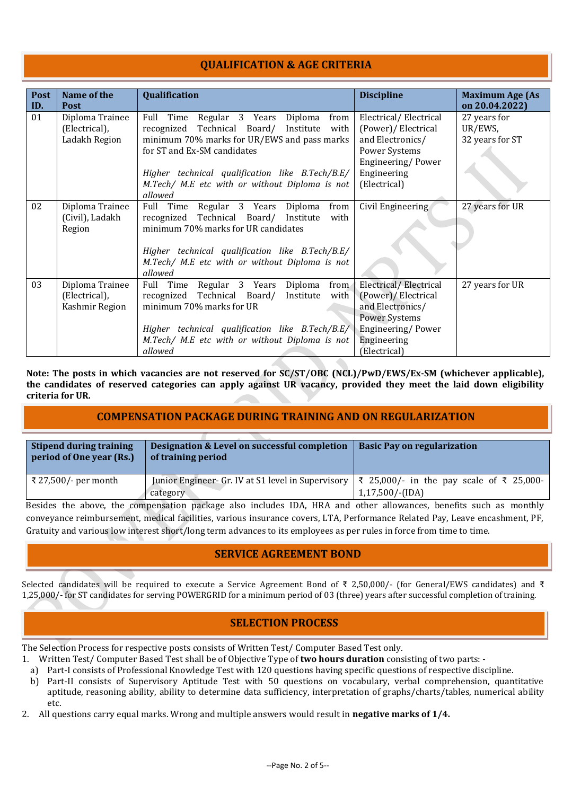# **QUALIFICATION & AGE CRITERIA**

| Post<br>ID. | Name of the<br><b>Post</b>                         | Qualification                                                                                                                                                                                                                                                                         | <b>Discipline</b>                                                                                                                            | <b>Maximum Age (As</b><br>on 20.04.2022)   |
|-------------|----------------------------------------------------|---------------------------------------------------------------------------------------------------------------------------------------------------------------------------------------------------------------------------------------------------------------------------------------|----------------------------------------------------------------------------------------------------------------------------------------------|--------------------------------------------|
| 01          | Diploma Trainee<br>(Electrical),<br>Ladakh Region  | Full Time Regular 3 Years Diploma<br>from<br>recognized Technical Board/ Institute with<br>minimum 70% marks for UR/EWS and pass marks<br>for ST and Ex-SM candidates<br>Higher technical qualification like B.Tech/B.E/<br>M.Tech/ M.E etc with or without Diploma is not<br>allowed | Electrical/Electrical<br>(Power)/ Electrical<br>and Electronics/<br>Power Systems<br>Engineering/Power<br>Engineering<br>(Electrical)        | 27 years for<br>UR/EWS,<br>32 years for ST |
| 02          | Diploma Trainee<br>(Civil), Ladakh<br>Region       | Full Time Regular 3 Years Diploma<br>from<br>recognized Technical Board/ Institute<br>with<br>minimum 70% marks for UR candidates<br>Higher technical qualification like B.Tech/B.E/<br>M.Tech/ M.E etc with or without Diploma is not<br>allowed                                     | Civil Engineering                                                                                                                            | 27 years for UR                            |
| 03          | Diploma Trainee<br>(Electrical),<br>Kashmir Region | Full Time Regular 3 Years Diploma<br>from<br>recognized Technical Board/ Institute<br>with<br>minimum 70% marks for UR<br>Higher technical qualification like B.Tech/B.E/<br>M.Tech/ M.E etc with or without Diploma is not<br>allowed                                                | Electrical/Electrical<br>(Power)/ Electrical<br>and Electronics/<br><b>Power Systems</b><br>Engineering/Power<br>Engineering<br>(Electrical) | 27 years for UR                            |

**Note: The posts in which vacancies are not reserved for SC/ST/OBC (NCL)/PwD/EWS/Ex-SM (whichever applicable), the candidates of reserved categories can apply against UR vacancy, provided they meet the laid down eligibility criteria for UR.**

# **COMPENSATION PACKAGE DURING TRAINING AND ON REGULARIZATION**

| Stipend during training<br>period of One year (Rs.) | Designation & Level on successful completion<br>of training period                                                    | <b>Basic Pay on regularization</b> |
|-----------------------------------------------------|-----------------------------------------------------------------------------------------------------------------------|------------------------------------|
| ₹ 27,500/- per month                                | Junior Engineer- Gr. IV at S1 level in Supervisory $\vert \xi \vert$ 25,000/- in the pay scale of $\xi \vert$ 25,000- |                                    |
|                                                     | category                                                                                                              | $1,17,500$ /-(IDA)                 |

 Besides the above, the compensation package also includes IDA, HRA and other allowances, benefits such as monthly conveyance reimbursement, medical facilities, various insurance covers, LTA, Performance Related Pay, Leave encashment, PF, Gratuity and various low interest short/long term advances to its employees as per rules in force from time to time.

#### **SERVICE AGREEMENT BOND**

Selected candidates will be required to execute a Service Agreement Bond of ₹ 2,50,000/- (for General/EWS candidates) and ₹ 1,25,000/- for ST candidates for serving POWERGRID for a minimum period of 03 (three) years after successful completion of training.

#### **SELECTION PROCESS**

The Selection Process for respective posts consists of Written Test/ Computer Based Test only.

- 1. Written Test/ Computer Based Test shall be of Objective Type of **two hours duration** consisting of two parts: -
- a) Part-I consists of Professional Knowledge Test with 120 questions having specific questions of respective discipline.
- b) Part-II consists of Supervisory Aptitude Test with 50 questions on vocabulary, verbal comprehension, quantitative aptitude, reasoning ability, ability to determine data sufficiency, interpretation of graphs/charts/tables, numerical ability etc.
- 2. All questions carry equal marks. Wrong and multiple answers would result in **negative marks of 1/4.**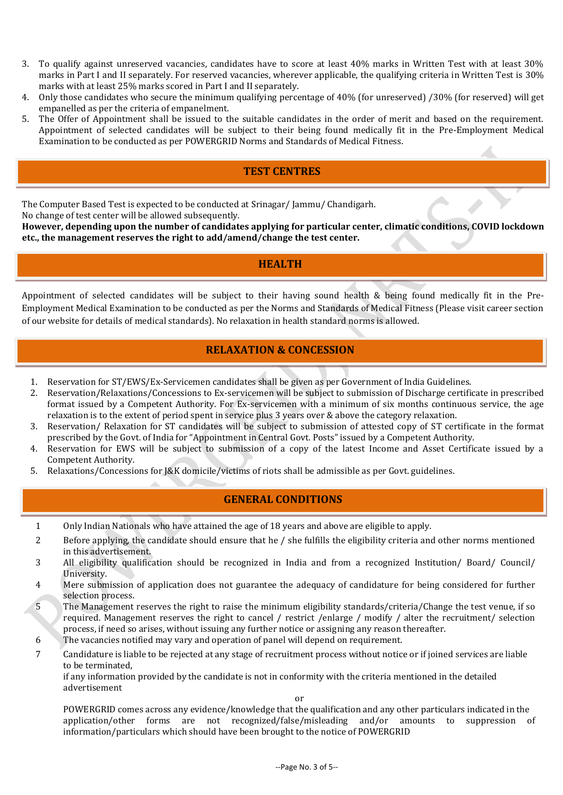- 3. To qualify against unreserved vacancies, candidates have to score at least 40% marks in Written Test with at least 30% marks in Part I and II separately. For reserved vacancies, wherever applicable, the qualifying criteria in Written Test is 30% marks with at least 25% marks scored in Part I and II separately.
- 4. Only those candidates who secure the minimum qualifying percentage of 40% (for unreserved) /30% (for reserved) will get empanelled as per the criteria of empanelment.
- 5. The Offer of Appointment shall be issued to the suitable candidates in the order of merit and based on the requirement. Appointment of selected candidates will be subject to their being found medically fit in the Pre-Employment Medical Examination to be conducted as per POWERGRID Norms and Standards of Medical Fitness.

# **TEST CENTRES**

The Computer Based Test is expected to be conducted at Srinagar/ Jammu/ Chandigarh.

No change of test center will be allowed subsequently.

**However, depending upon the number of candidates applying for particular center, climatic conditions, COVID lockdown etc., the management reserves the right to add/amend/change the test center.**

### **HEALTH**

Appointment of selected candidates will be subject to their having sound health & being found medically fit in the Pre-Employment Medical Examination to be conducted as per the Norms and Standards of Medical Fitness (Please visit career section of our website for details of medical standards). No relaxation in health standard norms is allowed.

# **RELAXATION & CONCESSION**

- 1. Reservation for ST/EWS/Ex-Servicemen candidates shall be given as per Government of India Guidelines.
- 2. Reservation/Relaxations/Concessions to Ex-servicemen will be subject to submission of Discharge certificate in prescribed format issued by a Competent Authority. For Ex-servicemen with a minimum of six months continuous service, the age relaxation is to the extent of period spent in service plus 3 years over & above the category relaxation.
- 3. Reservation/ Relaxation for ST candidates will be subject to submission of attested copy of ST certificate in the format prescribed by the Govt. of India for "Appointment in Central Govt. Posts" issued by a Competent Authority.
- 4. Reservation for EWS will be subject to submission of a copy of the latest Income and Asset Certificate issued by a Competent Authority.
- 5. Relaxations/Concessions for J&K domicile/victims of riots shall be admissible as per Govt. guidelines.

# **GENERAL CONDITIONS**

- 1 Only Indian Nationals who have attained the age of 18 years and above are eligible to apply.
- 2 Before applying, the candidate should ensure that he / she fulfills the eligibility criteria and other norms mentioned in this advertisement.
- 3 All eligibility qualification should be recognized in India and from a recognized Institution/ Board/ Council/ University.
- 4 Mere submission of application does not guarantee the adequacy of candidature for being considered for further selection process.
- 5 The Management reserves the right to raise the minimum eligibility standards/criteria/Change the test venue, if so required. Management reserves the right to cancel / restrict /enlarge / modify / alter the recruitment/ selection process, if need so arises, without issuing any further notice or assigning any reason thereafter.
- 6 The vacancies notified may vary and operation of panel will depend on requirement.
- 7 Candidature is liable to be rejected at any stage of recruitment process without notice or if joined services are liable to be terminated,

if any information provided by the candidate is not in conformity with the criteria mentioned in the detailed advertisement

or

POWERGRID comes across any evidence/knowledge that the qualification and any other particulars indicated in the application/other forms are not recognized/false/misleading and/or amounts to suppression of information/particulars which should have been brought to the notice of POWERGRID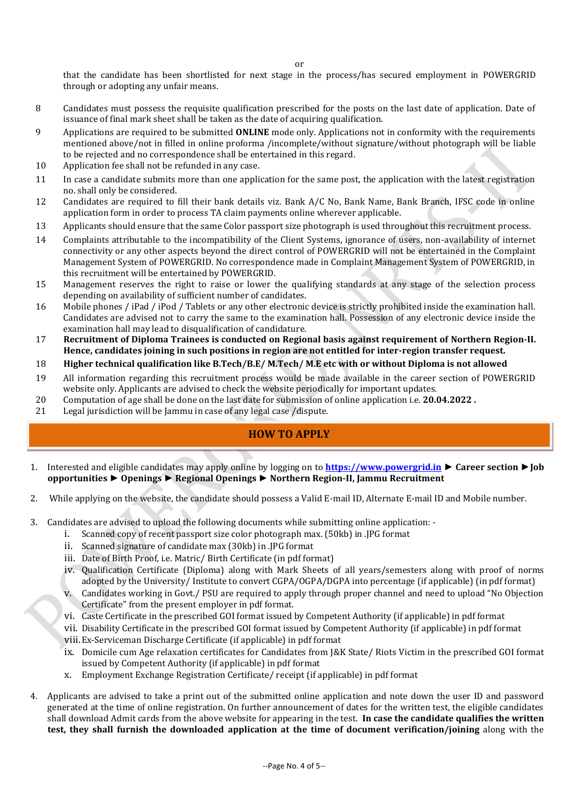or

that the candidate has been shortlisted for next stage in the process/has secured employment in POWERGRID through or adopting any unfair means.

- 8 Candidates must possess the requisite qualification prescribed for the posts on the last date of application. Date of issuance of final mark sheet shall be taken as the date of acquiring qualification.
- 9 Applications are required to be submitted **ONLINE** mode only. Applications not in conformity with the requirements mentioned above/not in filled in online proforma /incomplete/without signature/without photograph will be liable to be rejected and no correspondence shall be entertained in this regard.
- 10 Application fee shall not be refunded in any case.
- 11 In case a candidate submits more than one application for the same post, the application with the latest registration no. shall only be considered.
- 12 Candidates are required to fill their bank details viz. Bank A/C No, Bank Name, Bank Branch, IFSC code in online application form in order to process TA claim payments online wherever applicable.
- 13 Applicants should ensure that the same Color passport size photograph is used throughout this recruitment process.
- 14 Complaints attributable to the incompatibility of the Client Systems, ignorance of users, non-availability of internet connectivity or any other aspects beyond the direct control of POWERGRID will not be entertained in the Complaint Management System of POWERGRID. No correspondence made in Complaint Management System of POWERGRID, in this recruitment will be entertained by POWERGRID.
- 15 Management reserves the right to raise or lower the qualifying standards at any stage of the selection process depending on availability of sufficient number of candidates.
- 16 Mobile phones / iPad / iPod / Tablets or any other electronic device is strictly prohibited inside the examination hall. Candidates are advised not to carry the same to the examination hall. Possession of any electronic device inside the examination hall may lead to disqualification of candidature.
- 17 **Recruitment of Diploma Trainees is conducted on Regional basis against requirement of Northern Region-II. Hence, candidates joining in such positions in region are not entitled for inter-region transfer request.**
- 18 **Higher technical qualification like B.Tech/B.E/ M.Tech/ M.E etc with or without Diploma is not allowed**
- 19 All information regarding this recruitment process would be made available in the career section of POWERGRID website only. Applicants are advised to check the website periodically for important updates.
- 20 Computation of age shall be done on the last date for submission of online application i.e. **20.04.2022 .**
- 21 Legal jurisdiction will be Jammu in case of any legal case /dispute.

# **HOW TO APPLY**

- 1. Interested and eligible candidates may apply online by logging on to **[https://www.powergrid.in](https://www.powergrid.in/) ► Career section ►Job opportunities ► Openings ► Regional Openings ► Northern Region-II, Jammu Recruitment**
- 2. While applying on the website, the candidate should possess a Valid E-mail ID, Alternate E-mail ID and Mobile number.
- 3. Candidates are advised to upload the following documents while submitting online application:
	- i. Scanned copy of recent passport size color photograph max. (50kb) in .JPG format
	- ii. Scanned signature of candidate max (30kb) in .JPG format
	- iii. Date of Birth Proof, i.e. Matric/ Birth Certificate (in pdf format)
	- iv. Qualification Certificate (Diploma) along with Mark Sheets of all years/semesters along with proof of norms adopted by the University/ Institute to convert CGPA/OGPA/DGPA into percentage (if applicable) (in pdf format)
	- v. Candidates working in Govt./ PSU are required to apply through proper channel and need to upload "No Objection Certificate" from the present employer in pdf format.
	- vi. Caste Certificate in the prescribed GOI format issued by Competent Authority (if applicable) in pdf format
	- vii. Disability Certificate in the prescribed GOI format issued by Competent Authority (if applicable) in pdf format viii.Ex-Serviceman Discharge Certificate (if applicable) in pdf format
	- ix. Domicile cum Age relaxation certificates for Candidates from J&K State/ Riots Victim in the prescribed GOI format issued by Competent Authority (if applicable) in pdf format
	- x. Employment Exchange Registration Certificate/ receipt (if applicable) in pdf format
- 4. Applicants are advised to take a print out of the submitted online application and note down the user ID and password generated at the time of online registration. On further announcement of dates for the written test, the eligible candidates shall download Admit cards from the above website for appearing in the test. **In case the candidate qualifies the written test, they shall furnish the downloaded application at the time of document verification/joining** along with the